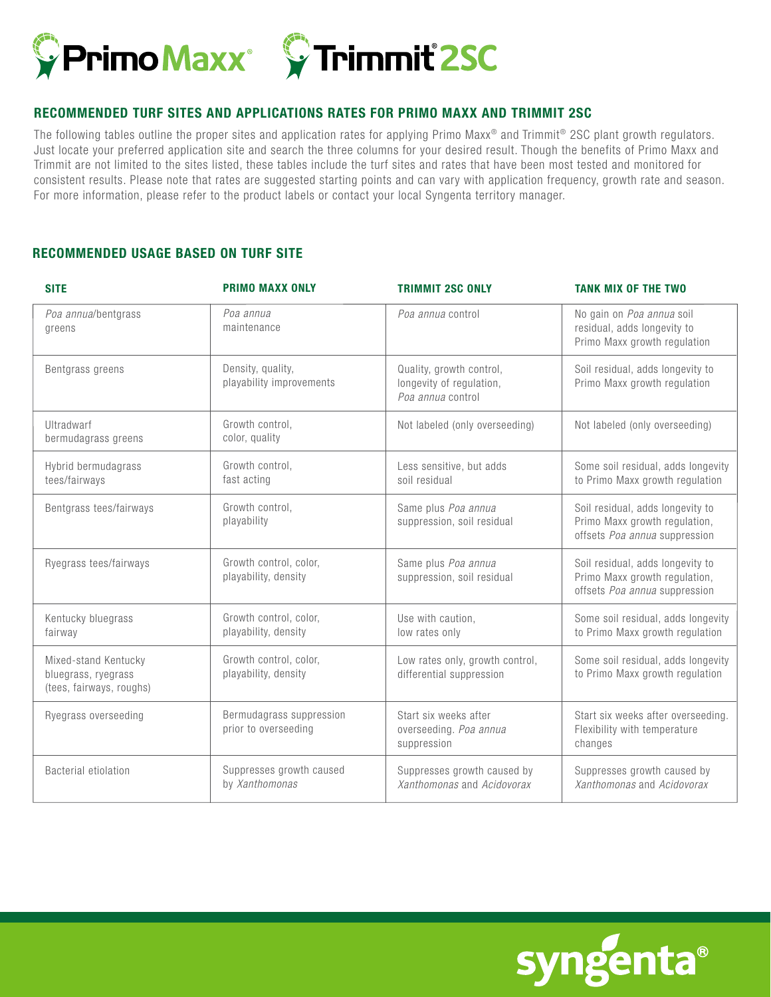



## **RECOMMENDED TURF SITES AND APPLICATIONS RATES FOR PRIMO MAXX AND TRIMMIT 2SC**

The following tables outline the proper sites and application rates for applying Primo Maxx<sup>®</sup> and Trimmit<sup>®</sup> 2SC plant growth regulators. Just locate your preferred application site and search the three columns for your desired result. Though the benefits of Primo Maxx and Trimmit are not limited to the sites listed, these tables include the turf sites and rates that have been most tested and monitored for consistent results. Please note that rates are suggested starting points and can vary with application frequency, growth rate and season. For more information, please refer to the product labels or contact your local Syngenta territory manager.

## **RECOMMENDED USAGE BASED ON TURF SITE**

| <b>SITE</b>                                                             | <b>PRIMO MAXX ONLY</b>                           | <b>TRIMMIT 2SC ONLY</b>                                                   | <b>TANK MIX OF THE TWO</b>                                                                         |
|-------------------------------------------------------------------------|--------------------------------------------------|---------------------------------------------------------------------------|----------------------------------------------------------------------------------------------------|
| Poa annua/bentgrass<br>greens                                           | Poa annua<br>maintenance                         | Poa annua control                                                         | No gain on Poa annua soil<br>residual, adds longevity to<br>Primo Maxx growth regulation           |
| Bentgrass greens                                                        | Density, quality,<br>playability improvements    | Quality, growth control,<br>longevity of regulation,<br>Poa annua control | Soil residual, adds longevity to<br>Primo Maxx growth regulation                                   |
| Ultradwarf<br>bermudagrass greens                                       | Growth control,<br>color, quality                | Not labeled (only overseeding)                                            | Not labeled (only overseeding)                                                                     |
| Hybrid bermudagrass<br>tees/fairways                                    | Growth control,<br>fast acting                   | Less sensitive, but adds<br>soil residual                                 | Some soil residual, adds longevity<br>to Primo Maxx growth regulation                              |
| Bentgrass tees/fairways                                                 | Growth control,<br>playability                   | Same plus Poa annua<br>suppression, soil residual                         | Soil residual, adds longevity to<br>Primo Maxx growth regulation,<br>offsets Poa annua suppression |
| Ryegrass tees/fairways                                                  | Growth control, color,<br>playability, density   | Same plus Poa annua<br>suppression, soil residual                         | Soil residual, adds longevity to<br>Primo Maxx growth regulation,<br>offsets Poa annua suppression |
| Kentucky bluegrass<br>fairway                                           | Growth control, color,<br>playability, density   | Use with caution,<br>low rates only                                       | Some soil residual, adds longevity<br>to Primo Maxx growth regulation                              |
| Mixed-stand Kentucky<br>bluegrass, ryegrass<br>(tees, fairways, roughs) | Growth control, color,<br>playability, density   | Low rates only, growth control,<br>differential suppression               | Some soil residual, adds longevity<br>to Primo Maxx growth regulation                              |
| Ryegrass overseeding                                                    | Bermudagrass suppression<br>prior to overseeding | Start six weeks after<br>overseeding. Poa annua<br>suppression            | Start six weeks after overseeding.<br>Flexibility with temperature<br>changes                      |
| Bacterial etiolation                                                    | Suppresses growth caused<br>by Xanthomonas       | Suppresses growth caused by<br>Xanthomonas and Acidovorax                 | Suppresses growth caused by<br>Xanthomonas and Acidovorax                                          |